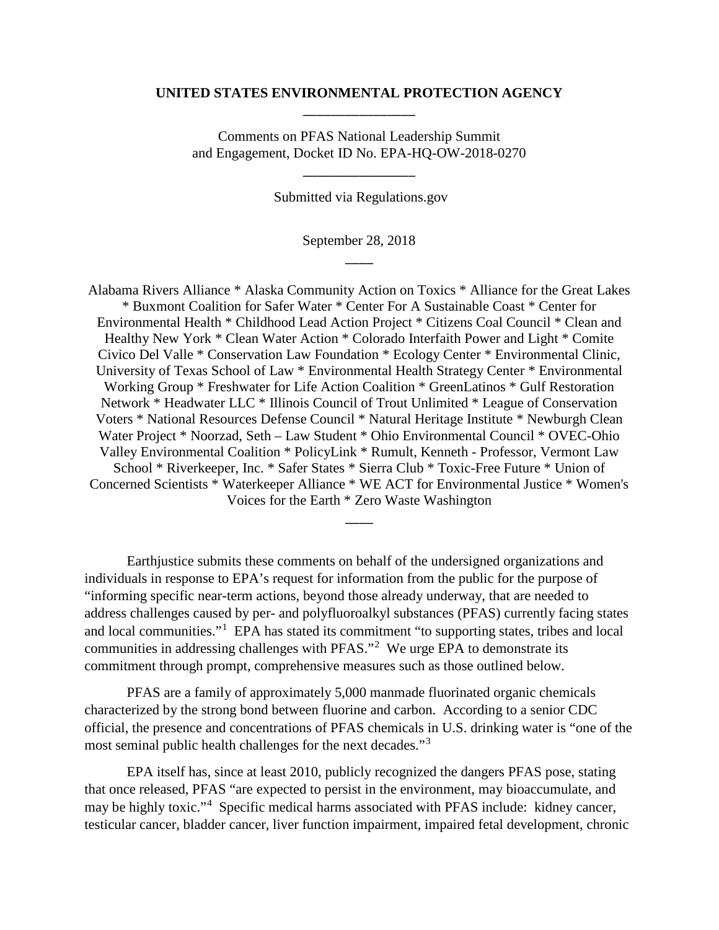## **UNITED STATES ENVIRONMENTAL PROTECTION AGENCY** \_\_\_\_\_\_\_\_\_\_\_\_\_\_\_\_

Comments on PFAS National Leadership Summit and Engagement, Docket ID No. EPA-HQ-OW-2018-0270

\_\_\_\_\_\_\_\_\_\_\_\_\_\_\_\_

Submitted via Regulations.gov

September 28, 2018  $\overline{\phantom{a}}$ 

Alabama Rivers Alliance \* Alaska Community Action on Toxics \* Alliance for the Great Lakes \* Buxmont Coalition for Safer Water \* Center For A Sustainable Coast \* Center for Environmental Health \* Childhood Lead Action Project \* Citizens Coal Council \* Clean and Healthy New York \* Clean Water Action \* Colorado Interfaith Power and Light \* Comite Civico Del Valle \* Conservation Law Foundation \* Ecology Center \* Environmental Clinic, University of Texas School of Law \* Environmental Health Strategy Center \* Environmental Working Group \* Freshwater for Life Action Coalition \* GreenLatinos \* Gulf Restoration Network \* Headwater LLC \* Illinois Council of Trout Unlimited \* League of Conservation Voters \* National Resources Defense Council \* Natural Heritage Institute \* Newburgh Clean Water Project \* Noorzad, Seth – Law Student \* Ohio Environmental Council \* OVEC-Ohio Valley Environmental Coalition \* PolicyLink \* Rumult, Kenneth - Professor, Vermont Law School \* Riverkeeper, Inc. \* Safer States \* Sierra Club \* Toxic-Free Future \* Union of Concerned Scientists \* Waterkeeper Alliance \* WE ACT for Environmental Justice \* Women's Voices for the Earth \* Zero Waste Washington

Earthjustice submits these comments on behalf of the undersigned organizations and individuals in response to EPA's request for information from the public for the purpose of "informing specific near-term actions, beyond those already underway, that are needed to address challenges caused by per- and polyfluoroalkyl substances (PFAS) currently facing states and local communities."<sup>[1](#page-5-0)</sup> EPA has stated its commitment "to supporting states, tribes and local communities in addressing challenges with PFAS."<sup>[2](#page-5-1)</sup> We urge EPA to demonstrate its commitment through prompt, comprehensive measures such as those outlined below.

 $\overline{\phantom{a}}$ 

PFAS are a family of approximately 5,000 manmade fluorinated organic chemicals characterized by the strong bond between fluorine and carbon.According to a senior CDC official, the presence and concentrations of PFAS chemicals in U.S. drinking water is "one of the most seminal public health challenges for the next decades."[3](#page-5-2)

EPA itself has, since at least 2010, publicly recognized the dangers PFAS pose, stating that once released, PFAS "are expected to persist in the environment, may bioaccumulate, and may be highly toxic."<sup>[4](#page-5-3)</sup> Specific medical harms associated with PFAS include: kidney cancer, testicular cancer, bladder cancer, liver function impairment, impaired fetal development, chronic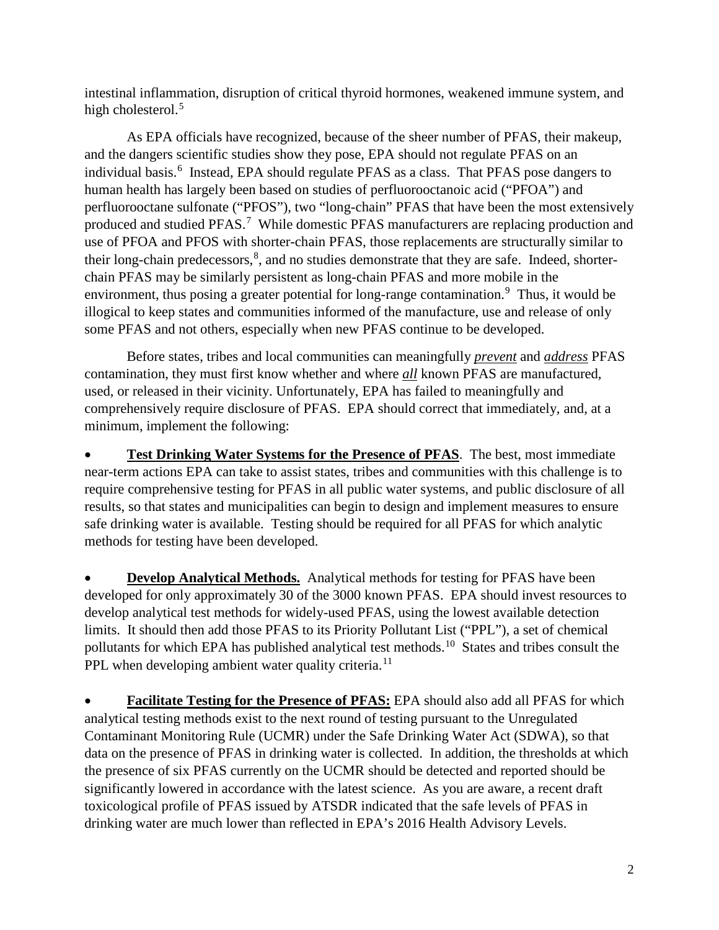intestinal inflammation, disruption of critical thyroid hormones, weakened immune system, and high cholesterol.<sup>[5](#page-5-4)</sup>

As EPA officials have recognized, because of the sheer number of PFAS, their makeup, and the dangers scientific studies show they pose, EPA should not regulate PFAS on an individual basis.<sup>[6](#page-5-5)</sup> Instead, EPA should regulate PFAS as a class. That PFAS pose dangers to human health has largely been based on studies of perfluorooctanoic acid ("PFOA") and perfluorooctane sulfonate ("PFOS"), two "long-chain" PFAS that have been the most extensively produced and studied PFAS.<sup>[7](#page-5-6)</sup> While domestic PFAS manufacturers are replacing production and use of PFOA and PFOS with shorter-chain PFAS, those replacements are structurally similar to their long-chain predecessors,<sup>[8](#page-5-7)</sup>, and no studies demonstrate that they are safe. Indeed, shorterchain PFAS may be similarly persistent as long-chain PFAS and more mobile in the environment, thus posing a greater potential for long-range contamination.<sup>[9](#page-5-8)</sup> Thus, it would be illogical to keep states and communities informed of the manufacture, use and release of only some PFAS and not others, especially when new PFAS continue to be developed.

Before states, tribes and local communities can meaningfully *prevent* and *address* PFAS contamination, they must first know whether and where *all* known PFAS are manufactured, used, or released in their vicinity. Unfortunately, EPA has failed to meaningfully and comprehensively require disclosure of PFAS. EPA should correct that immediately, and, at a minimum, implement the following:

• **Test Drinking Water Systems for the Presence of PFAS**. The best, most immediate near-term actions EPA can take to assist states, tribes and communities with this challenge is to require comprehensive testing for PFAS in all public water systems, and public disclosure of all results, so that states and municipalities can begin to design and implement measures to ensure safe drinking water is available. Testing should be required for all PFAS for which analytic methods for testing have been developed.

**Develop Analytical Methods.** Analytical methods for testing for PFAS have been developed for only approximately 30 of the 3000 known PFAS. EPA should invest resources to develop analytical test methods for widely-used PFAS, using the lowest available detection limits. It should then add those PFAS to its Priority Pollutant List ("PPL"), a set of chemical pollutants for which EPA has published analytical test methods.<sup>10</sup> States and tribes consult the PPL when developing ambient water quality criteria.<sup>[11](#page-5-10)</sup>

**Facilitate Testing for the Presence of PFAS:** EPA should also add all PFAS for which analytical testing methods exist to the next round of testing pursuant to the Unregulated Contaminant Monitoring Rule (UCMR) under the Safe Drinking Water Act (SDWA), so that data on the presence of PFAS in drinking water is collected. In addition, the thresholds at which the presence of six PFAS currently on the UCMR should be detected and reported should be significantly lowered in accordance with the latest science. As you are aware, a recent draft toxicological profile of PFAS issued by ATSDR indicated that the safe levels of PFAS in drinking water are much lower than reflected in EPA's 2016 Health Advisory Levels.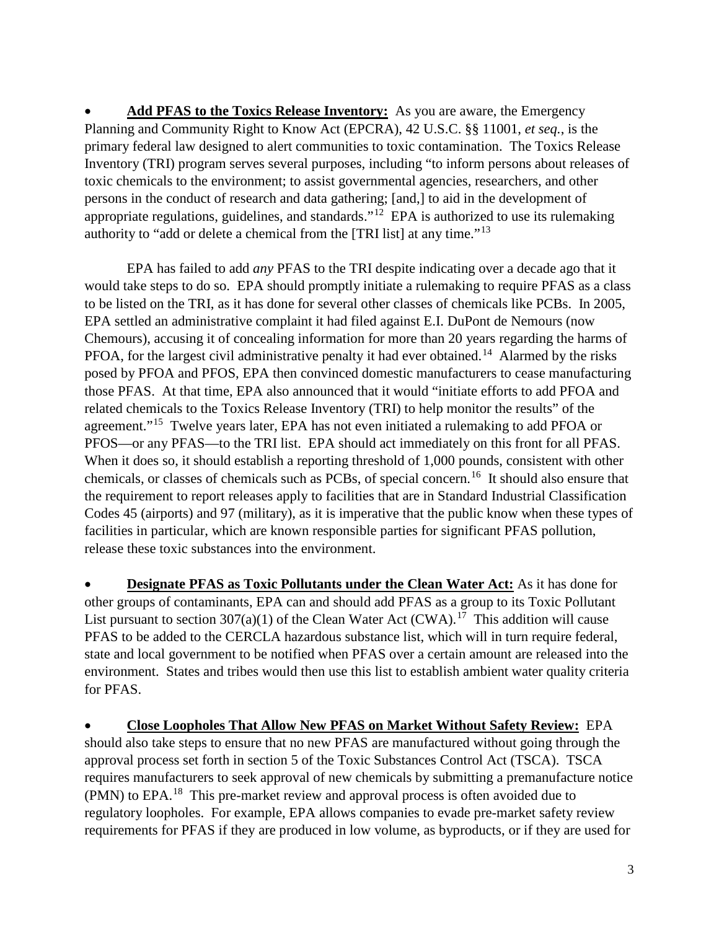• **Add PFAS to the Toxics Release Inventory:** As you are aware, the Emergency Planning and Community Right to Know Act (EPCRA), 42 U.S.C. §§ 11001, *et seq.*, is the primary federal law designed to alert communities to toxic contamination. The Toxics Release Inventory (TRI) program serves several purposes, including "to inform persons about releases of toxic chemicals to the environment; to assist governmental agencies, researchers, and other persons in the conduct of research and data gathering; [and,] to aid in the development of appropriate regulations, guidelines, and standards."<sup>[12](#page-5-11)</sup> EPA is authorized to use its rulemaking authority to "add or delete a chemical from the [TRI list] at any time."[13](#page-5-12)

EPA has failed to add *any* PFAS to the TRI despite indicating over a decade ago that it would take steps to do so. EPA should promptly initiate a rulemaking to require PFAS as a class to be listed on the TRI, as it has done for several other classes of chemicals like PCBs. In 2005, EPA settled an administrative complaint it had filed against E.I. DuPont de Nemours (now Chemours), accusing it of concealing information for more than 20 years regarding the harms of PFOA, for the largest civil administrative penalty it had ever obtained.<sup>[14](#page-5-13)</sup> Alarmed by the risks posed by PFOA and PFOS, EPA then convinced domestic manufacturers to cease manufacturing those PFAS. At that time, EPA also announced that it would "initiate efforts to add PFOA and related chemicals to the Toxics Release Inventory (TRI) to help monitor the results" of the agreement."<sup>15</sup> Twelve years later, EPA has not even initiated a rulemaking to add PFOA or PFOS—or any PFAS—to the TRI list. EPA should act immediately on this front for all PFAS. When it does so, it should establish a reporting threshold of 1,000 pounds, consistent with other chemicals, or classes of chemicals such as PCBs, of special concern.[16](#page-5-15) It should also ensure that the requirement to report releases apply to facilities that are in Standard Industrial Classification Codes 45 (airports) and 97 (military), as it is imperative that the public know when these types of facilities in particular, which are known responsible parties for significant PFAS pollution, release these toxic substances into the environment.

• **Designate PFAS as Toxic Pollutants under the Clean Water Act:** As it has done for other groups of contaminants, EPA can and should add PFAS as a group to its Toxic Pollutant List pursuant to section 307(a)(1) of the Clean Water Act (CWA).<sup>17</sup> This addition will cause PFAS to be added to the CERCLA hazardous substance list, which will in turn require federal, state and local government to be notified when PFAS over a certain amount are released into the environment. States and tribes would then use this list to establish ambient water quality criteria for PFAS.

• **Close Loopholes That Allow New PFAS on Market Without Safety Review:** EPA should also take steps to ensure that no new PFAS are manufactured without going through the approval process set forth in section 5 of the Toxic Substances Control Act (TSCA). TSCA requires manufacturers to seek approval of new chemicals by submitting a premanufacture notice (PMN) to EPA.<sup>18</sup> This pre-market review and approval process is often avoided due to regulatory loopholes. For example, EPA allows companies to evade pre-market safety review requirements for PFAS if they are produced in low volume, as byproducts, or if they are used for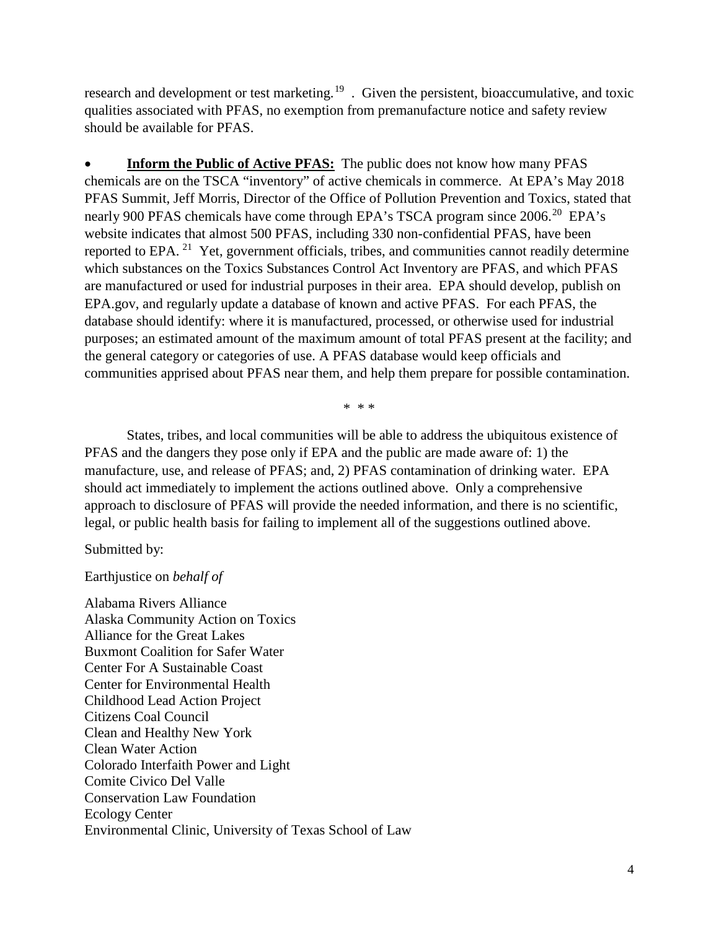research and development or test marketing.<sup>[19](#page-5-18)</sup> . Given the persistent, bioaccumulative, and toxic qualities associated with PFAS, no exemption from premanufacture notice and safety review should be available for PFAS.

**Inform the Public of Active PFAS:** The public does not know how many PFAS chemicals are on the TSCA "inventory" of active chemicals in commerce. At EPA's May 2018 PFAS Summit, Jeff Morris, Director of the Office of Pollution Prevention and Toxics, stated that nearly 900 PFAS chemicals have come through EPA's TSCA program since 2006.<sup>20</sup> EPA's website indicates that almost 500 PFAS, including 330 non-confidential PFAS, have been reported to EPA. [21](#page-5-20) Yet, government officials, tribes, and communities cannot readily determine which substances on the Toxics Substances Control Act Inventory are PFAS, and which PFAS are manufactured or used for industrial purposes in their area. EPA should develop, publish on EPA.gov, and regularly update a database of known and active PFAS. For each PFAS, the database should identify: where it is manufactured, processed, or otherwise used for industrial purposes; an estimated amount of the maximum amount of total PFAS present at the facility; and the general category or categories of use. A PFAS database would keep officials and communities apprised about PFAS near them, and help them prepare for possible contamination.

\* \* \*

States, tribes, and local communities will be able to address the ubiquitous existence of PFAS and the dangers they pose only if EPA and the public are made aware of: 1) the manufacture, use, and release of PFAS; and, 2) PFAS contamination of drinking water. EPA should act immediately to implement the actions outlined above. Only a comprehensive approach to disclosure of PFAS will provide the needed information, and there is no scientific, legal, or public health basis for failing to implement all of the suggestions outlined above.

Submitted by:

## Earthjustice on *behalf of*

Alabama Rivers Alliance Alaska Community Action on Toxics Alliance for the Great Lakes Buxmont Coalition for Safer Water Center For A Sustainable Coast Center for Environmental Health Childhood Lead Action Project Citizens Coal Council Clean and Healthy New York Clean Water Action Colorado Interfaith Power and Light Comite Civico Del Valle Conservation Law Foundation Ecology Center Environmental Clinic, University of Texas School of Law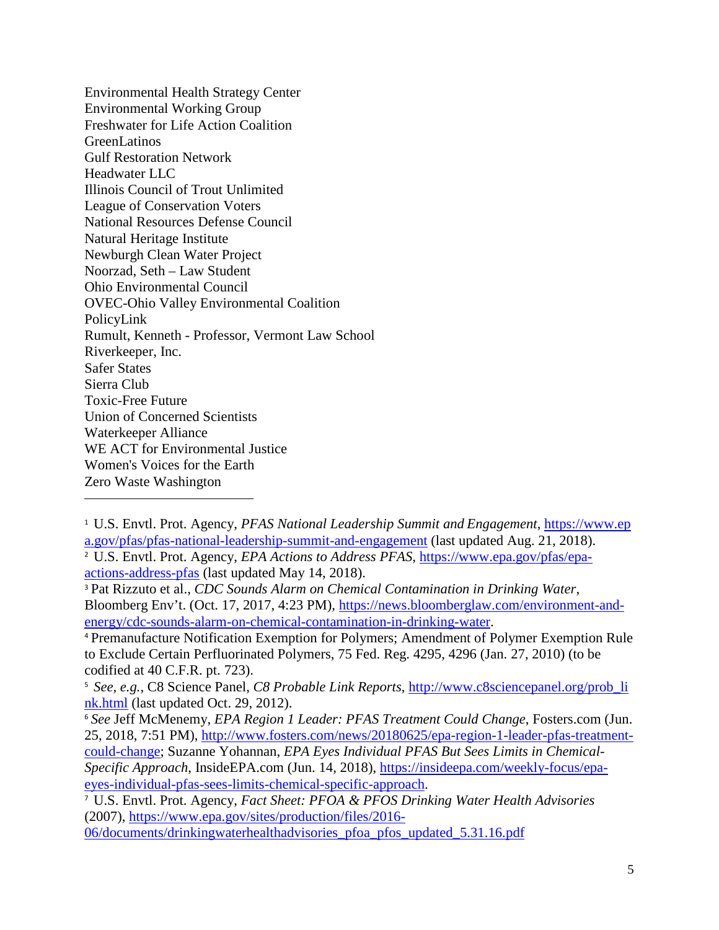Environmental Health Strategy Center Environmental Working Group Freshwater for Life Action Coalition **GreenLatinos** Gulf Restoration Network Headwater LLC Illinois Council of Trout Unlimited League of Conservation Voters National Resources Defense Council Natural Heritage Institute Newburgh Clean Water Project Noorzad, Seth – Law Student Ohio Environmental Council OVEC-Ohio Valley Environmental Coalition PolicyLink Rumult, Kenneth - Professor, Vermont Law School Riverkeeper, Inc. Safer States Sierra Club Toxic-Free Future Union of Concerned Scientists Waterkeeper Alliance WE ACT for Environmental Justice Women's Voices for the Earth Zero Waste Washington

l

<sup>1</sup> U.S. Envtl. Prot. Agency, *PFAS National Leadership Summit and Engagement*, [https://www.ep](https://www.epa.gov/pfas/pfas-national-leadership-summit-and-engagement) [a.gov/pfas/pfas-national-leadership-summit-and-engagement](https://www.epa.gov/pfas/pfas-national-leadership-summit-and-engagement) (last updated Aug. 21, 2018).

<sup>&</sup>lt;sup>2</sup> U.S. Envtl. Prot. Agency, *EPA Actions to Address PFAS*, [https://www.epa.gov/pfas/epa](https://www.epa.gov/pfas/epa-actions-address-pfas)[actions-address-pfas](https://www.epa.gov/pfas/epa-actions-address-pfas) (last updated May 14, 2018).

<sup>3</sup> Pat Rizzuto et al., *CDC Sounds Alarm on Chemical Contamination in Drinking Water*, Bloomberg Env't. (Oct. 17, 2017, 4:23 PM), [https://news.bloomberglaw.com/environment-and](https://news.bloomberglaw.com/environment-and-energy/cdc-sounds-alarm-on-chemical-contamination-in-drinking-water)[energy/cdc-sounds-alarm-on-chemical-contamination-in-drinking-water.](https://news.bloomberglaw.com/environment-and-energy/cdc-sounds-alarm-on-chemical-contamination-in-drinking-water)

<sup>4</sup> Premanufacture Notification Exemption for Polymers; Amendment of Polymer Exemption Rule to Exclude Certain Perfluorinated Polymers, 75 Fed. Reg. 4295, 4296 (Jan. 27, 2010) (to be codified at 40 C.F.R. pt. 723).

<sup>5</sup> *See, e.g.*, C8 Science Panel, *C8 Probable Link Reports*, [http://www.c8sciencepanel.org/prob\\_li](http://www.c8sciencepanel.org/prob_link.html) [nk.html](http://www.c8sciencepanel.org/prob_link.html) (last updated Oct. 29, 2012).

<sup>6</sup> *See* Jeff McMenemy, *EPA Region 1 Leader: PFAS Treatment Could Change*, Fosters.com (Jun. 25, 2018, 7:51 PM), [http://www.fosters.com/news/20180625/epa-region-1-leader-pfas-treatment](http://www.fosters.com/news/20180625/epa-region-1-leader-pfas-treatment-could-change)[could-change;](http://www.fosters.com/news/20180625/epa-region-1-leader-pfas-treatment-could-change) Suzanne Yohannan, *EPA Eyes Individual PFAS But Sees Limits in Chemical-Specific Approach*, InsideEPA.com (Jun. 14, 2018), [https://insideepa.com/weekly-focus/epa](https://insideepa.com/weekly-focus/epa-eyes-individual-pfas-sees-limits-chemical-specific-approach)[eyes-individual-pfas-sees-limits-chemical-specific-approach.](https://insideepa.com/weekly-focus/epa-eyes-individual-pfas-sees-limits-chemical-specific-approach)

<sup>7</sup> U.S. Envtl. Prot. Agency, *Fact Sheet: PFOA & PFOS Drinking Water Health Advisories* (2007), [https://www.epa.gov/sites/production/files/2016-](https://www.epa.gov/sites/production/files/2016-06/documents/drinkingwaterhealthadvisories_pfoa_pfos_updated_5.31.16.pdf)

[<sup>06/</sup>documents/drinkingwaterhealthadvisories\\_pfoa\\_pfos\\_updated\\_5.31.16.pdf](https://www.epa.gov/sites/production/files/2016-06/documents/drinkingwaterhealthadvisories_pfoa_pfos_updated_5.31.16.pdf)